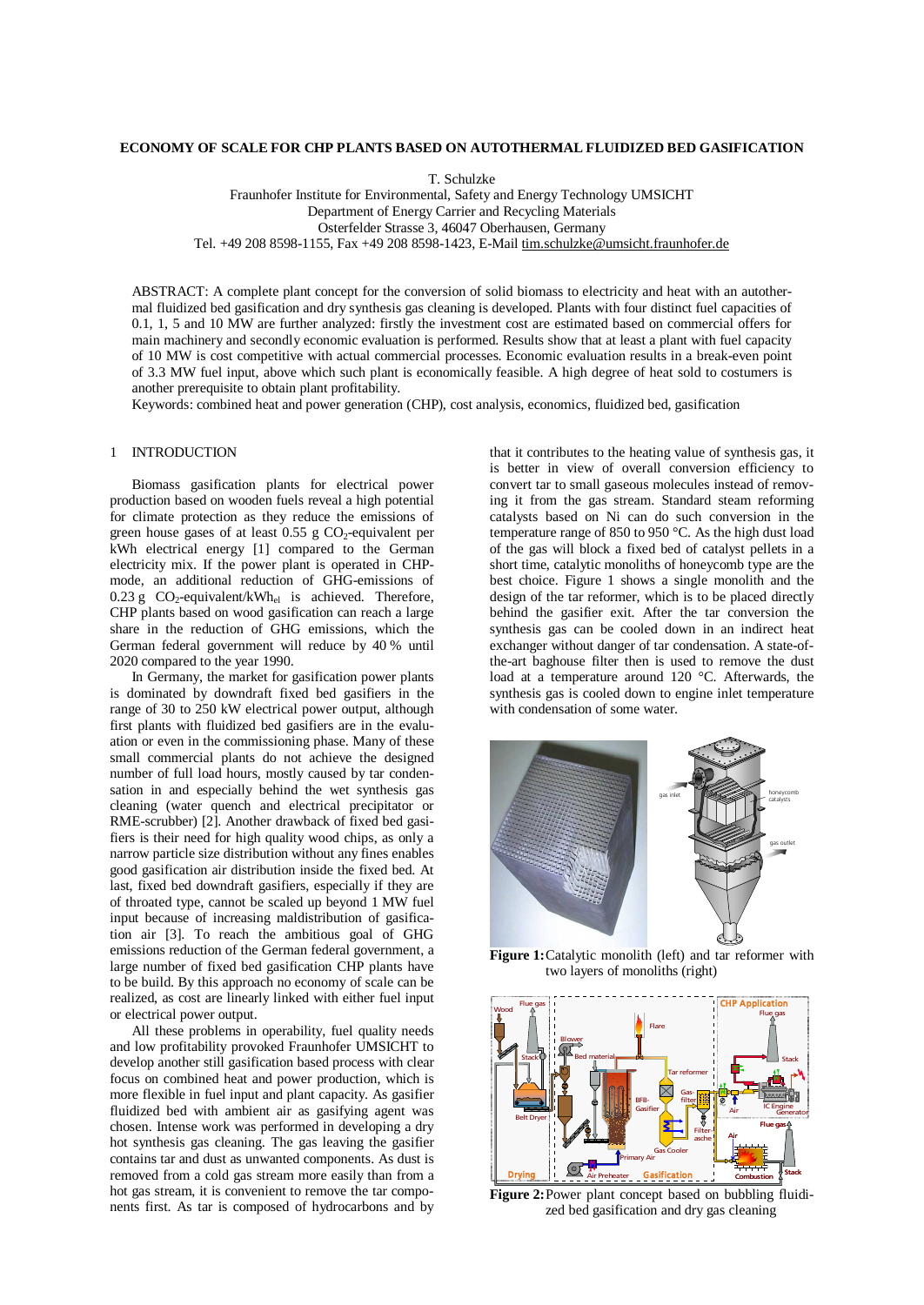### **ECONOMY OF SCALE FOR CHP PLANTS BASED ON AUTOTHERMAL FLUIDIZED BED GASIFICATION**

T. Schulzke

Fraunhofer Institute for Environmental, Safety and Energy Technology UMSICHT Department of Energy Carrier and Recycling Materials Osterfelder Strasse 3, 46047 Oberhausen, Germany Tel. +49 208 8598-1155, Fax +49 208 8598-1423, E-Mail [tim.schulzke@umsicht.fraunhofer.de](mailto:tim.schulzke@umsicht.fraunhofer.de)

ABSTRACT: A complete plant concept for the conversion of solid biomass to electricity and heat with an autothermal fluidized bed gasification and dry synthesis gas cleaning is developed. Plants with four distinct fuel capacities of 0.1, 1, 5 and 10 MW are further analyzed: firstly the investment cost are estimated based on commercial offers for main machinery and secondly economic evaluation is performed. Results show that at least a plant with fuel capacity of 10 MW is cost competitive with actual commercial processes. Economic evaluation results in a break-even point of 3.3 MW fuel input, above which such plant is economically feasible. A high degree of heat sold to costumers is another prerequisite to obtain plant profitability.

Keywords: combined heat and power generation (CHP), cost analysis, economics, fluidized bed, gasification

## 1 INTRODUCTION

Biomass gasification plants for electrical power production based on wooden fuels reveal a high potential for climate protection as they reduce the emissions of green house gases of at least  $0.55$  g  $CO_2$ -equivalent per kWh electrical energy [1] compared to the German electricity mix. If the power plant is operated in CHPmode, an additional reduction of GHG-emissions of 0.23 g  $CO_2$ -equivalent/kWh<sub>el</sub> is achieved. Therefore, CHP plants based on wood gasification can reach a large share in the reduction of GHG emissions, which the German federal government will reduce by 40 % until 2020 compared to the year 1990.

In Germany, the market for gasification power plants is dominated by downdraft fixed bed gasifiers in the range of 30 to 250 kW electrical power output, although first plants with fluidized bed gasifiers are in the evaluation or even in the commissioning phase. Many of these small commercial plants do not achieve the designed number of full load hours, mostly caused by tar condensation in and especially behind the wet synthesis gas cleaning (water quench and electrical precipitator or RME-scrubber) [2]. Another drawback of fixed bed gasifiers is their need for high quality wood chips, as only a narrow particle size distribution without any fines enables good gasification air distribution inside the fixed bed. At last, fixed bed downdraft gasifiers, especially if they are of throated type, cannot be scaled up beyond 1 MW fuel input because of increasing maldistribution of gasification air [3]. To reach the ambitious goal of GHG emissions reduction of the German federal government, a large number of fixed bed gasification CHP plants have to be build. By this approach no economy of scale can be realized, as cost are linearly linked with either fuel input or electrical power output.

All these problems in operability, fuel quality needs and low profitability provoked Fraunhofer UMSICHT to develop another still gasification based process with clear focus on combined heat and power production, which is more flexible in fuel input and plant capacity. As gasifier fluidized bed with ambient air as gasifying agent was chosen. Intense work was performed in developing a dry hot synthesis gas cleaning. The gas leaving the gasifier contains tar and dust as unwanted components. As dust is removed from a cold gas stream more easily than from a hot gas stream, it is convenient to remove the tar components first. As tar is composed of hydrocarbons and by

that it contributes to the heating value of synthesis gas, it is better in view of overall conversion efficiency to convert tar to small gaseous molecules instead of removing it from the gas stream. Standard steam reforming catalysts based on Ni can do such conversion in the temperature range of 850 to 950 °C. As the high dust load of the gas will block a fixed bed of catalyst pellets in a short time, catalytic monoliths of honeycomb type are the best choice. Figure 1 shows a single monolith and the design of the tar reformer, which is to be placed directly behind the gasifier exit. After the tar conversion the synthesis gas can be cooled down in an indirect heat exchanger without danger of tar condensation. A state-ofthe-art baghouse filter then is used to remove the dust load at a temperature around 120 °C. Afterwards, the synthesis gas is cooled down to engine inlet temperature with condensation of some water.



**Figure 1:**Catalytic monolith (left) and tar reformer with two layers of monoliths (right)



**Figure 2:**Power plant concept based on bubbling fluidized bed gasification and dry gas cleaning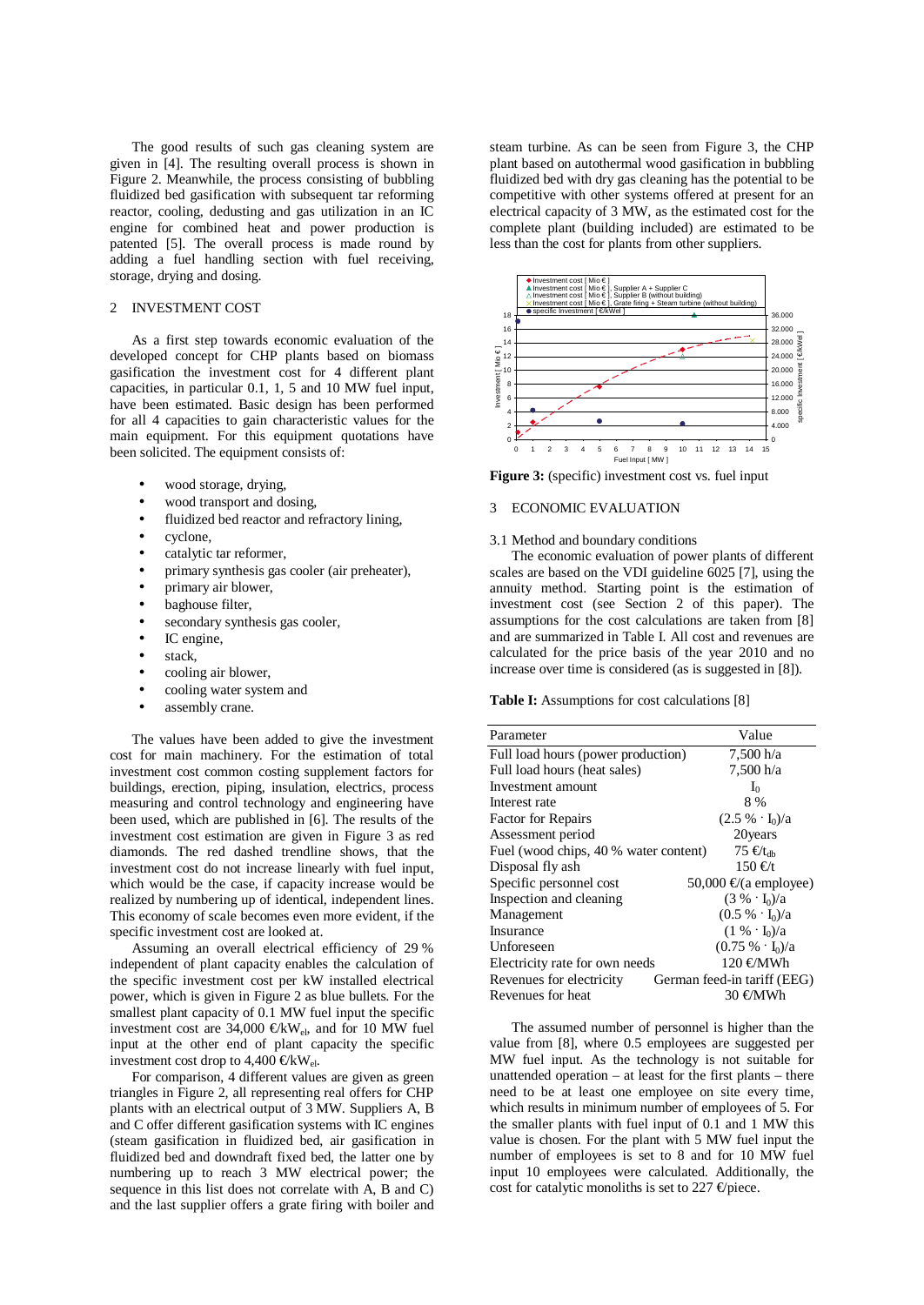The good results of such gas cleaning system are given in [4]. The resulting overall process is shown in Figure 2. Meanwhile, the process consisting of bubbling fluidized bed gasification with subsequent tar reforming reactor, cooling, dedusting and gas utilization in an IC engine for combined heat and power production is patented [5]. The overall process is made round by adding a fuel handling section with fuel receiving, storage, drying and dosing.

# 2 INVESTMENT COST

As a first step towards economic evaluation of the developed concept for CHP plants based on biomass gasification the investment cost for 4 different plant capacities, in particular 0.1, 1, 5 and 10 MW fuel input, have been estimated. Basic design has been performed for all 4 capacities to gain characteristic values for the main equipment. For this equipment quotations have been solicited. The equipment consists of:

- wood storage, drying,
- wood transport and dosing,
- fluidized bed reactor and refractory lining,
- cyclone,
- catalytic tar reformer,
- primary synthesis gas cooler (air preheater),
- primary air blower,
- baghouse filter,
- secondary synthesis gas cooler,
- IC engine,
- stack,
- cooling air blower,
- cooling water system and
- assembly crane.

The values have been added to give the investment cost for main machinery. For the estimation of total investment cost common costing supplement factors for buildings, erection, piping, insulation, electrics, process measuring and control technology and engineering have been used, which are published in [6]. The results of the investment cost estimation are given in Figure 3 as red diamonds. The red dashed trendline shows, that the investment cost do not increase linearly with fuel input, which would be the case, if capacity increase would be realized by numbering up of identical, independent lines. This economy of scale becomes even more evident, if the specific investment cost are looked at.

Assuming an overall electrical efficiency of 29 % independent of plant capacity enables the calculation of the specific investment cost per kW installed electrical power, which is given in Figure 2 as blue bullets. For the smallest plant capacity of 0.1 MW fuel input the specific investment cost are 34,000  $\text{€kW}_{el}$ , and for 10 MW fuel input at the other end of plant capacity the specific investment cost drop to 4,400  $\mathcal{C}$ kW<sub>el</sub>.

For comparison, 4 different values are given as green triangles in Figure 2, all representing real offers for CHP plants with an electrical output of 3 MW. Suppliers A, B and C offer different gasification systems with IC engines (steam gasification in fluidized bed, air gasification in fluidized bed and downdraft fixed bed, the latter one by numbering up to reach 3 MW electrical power; the sequence in this list does not correlate with A, B and C) and the last supplier offers a grate firing with boiler and steam turbine. As can be seen from Figure 3, the CHP plant based on autothermal wood gasification in bubbling fluidized bed with dry gas cleaning has the potential to be competitive with other systems offered at present for an electrical capacity of 3 MW, as the estimated cost for the complete plant (building included) are estimated to be less than the cost for plants from other suppliers.



**Figure 3:** (specific) investment cost vs. fuel input

# 3 ECONOMIC EVALUATION

#### 3.1 Method and boundary conditions

The economic evaluation of power plants of different scales are based on the VDI guideline 6025 [7], using the annuity method. Starting point is the estimation of investment cost (see Section 2 of this paper). The assumptions for the cost calculations are taken from [8] and are summarized in Table I. All cost and revenues are calculated for the price basis of the year 2010 and no increase over time is considered (as is suggested in [8]).

**Table I:** Assumptions for cost calculations [8]

| Parameter                             | Value                                |
|---------------------------------------|--------------------------------------|
| Full load hours (power production)    | 7,500 h/a                            |
| Full load hours (heat sales)          | 7,500 h/a                            |
| Investment amount                     | $I_0$                                |
| Interest rate                         | 8 %                                  |
| <b>Factor for Repairs</b>             | $(2.5\% \cdot I_0)/a$                |
| Assessment period                     | 20 years                             |
| Fuel (wood chips, 40 % water content) | $75 \text{ } \infty$ t <sub>dh</sub> |
| Disposal fly ash                      | $150 \text{ } \infty$                |
| Specific personnel cost               | 50,000 $\Theta$ (a employee)         |
| Inspection and cleaning               | $(3\% \cdot I_0)/a$                  |
| Management                            | $(0.5\% \cdot I_0)/a$                |
| Insurance                             | $(1\% \cdot I_0)/a$                  |
| Unforeseen                            | $(0.75\% \cdot I_0)/a$               |
| Electricity rate for own needs        | 120 €MWh                             |
| Revenues for electricity              | German feed-in tariff (EEG)          |
| Revenues for heat                     | 30 €MWh                              |

The assumed number of personnel is higher than the value from [8], where 0.5 employees are suggested per MW fuel input. As the technology is not suitable for unattended operation – at least for the first plants – there need to be at least one employee on site every time, which results in minimum number of employees of 5. For the smaller plants with fuel input of 0.1 and 1 MW this value is chosen. For the plant with 5 MW fuel input the number of employees is set to 8 and for 10 MW fuel input 10 employees were calculated. Additionally, the cost for catalytic monoliths is set to 227  $\Theta$  piece.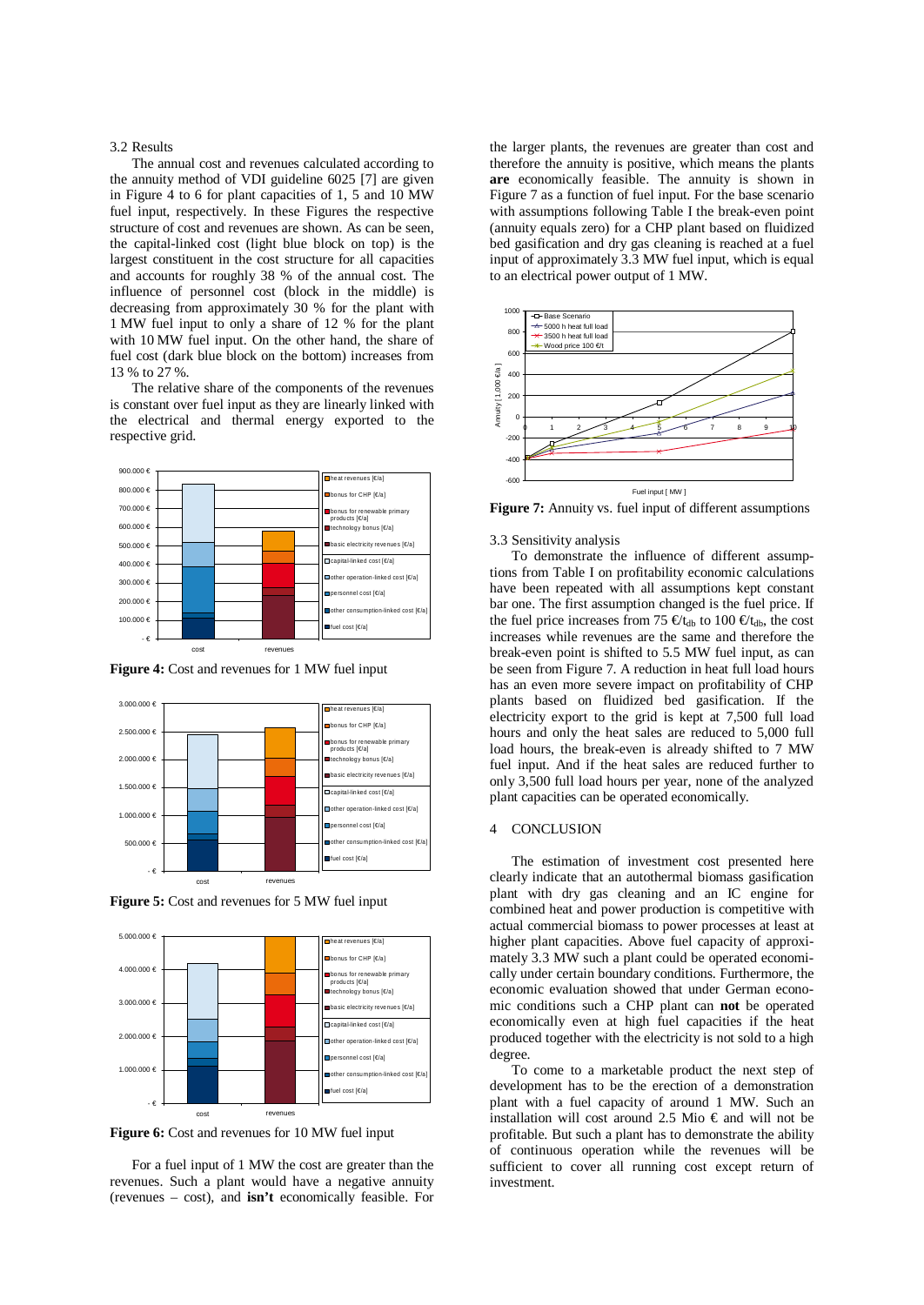### 3.2 Results

The annual cost and revenues calculated according to the annuity method of VDI guideline 6025 [7] are given in Figure 4 to 6 for plant capacities of 1, 5 and 10 MW fuel input, respectively. In these Figures the respective structure of cost and revenues are shown. As can be seen, the capital-linked cost (light blue block on top) is the largest constituent in the cost structure for all capacities and accounts for roughly 38 % of the annual cost. The influence of personnel cost (block in the middle) is decreasing from approximately 30 % for the plant with 1 MW fuel input to only a share of 12 % for the plant with 10 MW fuel input. On the other hand, the share of fuel cost (dark blue block on the bottom) increases from 13 % to 27 %.

The relative share of the components of the revenues is constant over fuel input as they are linearly linked with the electrical and thermal energy exported to the respective grid.







**Figure 5:** Cost and revenues for 5 MW fuel input



**Figure 6:** Cost and revenues for 10 MW fuel input

For a fuel input of 1 MW the cost are greater than the revenues. Such a plant would have a negative annuity (revenues – cost), and **isn't** economically feasible. For

the larger plants, the revenues are greater than cost and therefore the annuity is positive, which means the plants **are** economically feasible. The annuity is shown in Figure 7 as a function of fuel input. For the base scenario with assumptions following Table I the break-even point (annuity equals zero) for a CHP plant based on fluidized bed gasification and dry gas cleaning is reached at a fuel input of approximately 3.3 MW fuel input, which is equal to an electrical power output of 1 MW.



**Figure 7:** Annuity vs. fuel input of different assumptions

3.3 Sensitivity analysis

To demonstrate the influence of different assumptions from Table I on profitability economic calculations have been repeated with all assumptions kept constant bar one. The first assumption changed is the fuel price. If the fuel price increases from 75  $\epsilon t_{db}$  to 100  $\epsilon t_{db}$ , the cost increases while revenues are the same and therefore the break-even point is shifted to 5.5 MW fuel input, as can be seen from Figure 7. A reduction in heat full load hours has an even more severe impact on profitability of CHP plants based on fluidized bed gasification. If the electricity export to the grid is kept at 7,500 full load hours and only the heat sales are reduced to 5,000 full load hours, the break-even is already shifted to 7 MW fuel input. And if the heat sales are reduced further to only 3,500 full load hours per year, none of the analyzed plant capacities can be operated economically.

# 4 CONCLUSION

The estimation of investment cost presented here clearly indicate that an autothermal biomass gasification plant with dry gas cleaning and an IC engine for combined heat and power production is competitive with actual commercial biomass to power processes at least at higher plant capacities. Above fuel capacity of approximately 3.3 MW such a plant could be operated economically under certain boundary conditions. Furthermore, the economic evaluation showed that under German economic conditions such a CHP plant can **not** be operated economically even at high fuel capacities if the heat produced together with the electricity is not sold to a high degree.

To come to a marketable product the next step of development has to be the erection of a demonstration plant with a fuel capacity of around 1 MW. Such an installation will cost around 2.5 Mio  $\epsilon$  and will not be profitable. But such a plant has to demonstrate the ability of continuous operation while the revenues will be sufficient to cover all running cost except return of investment.